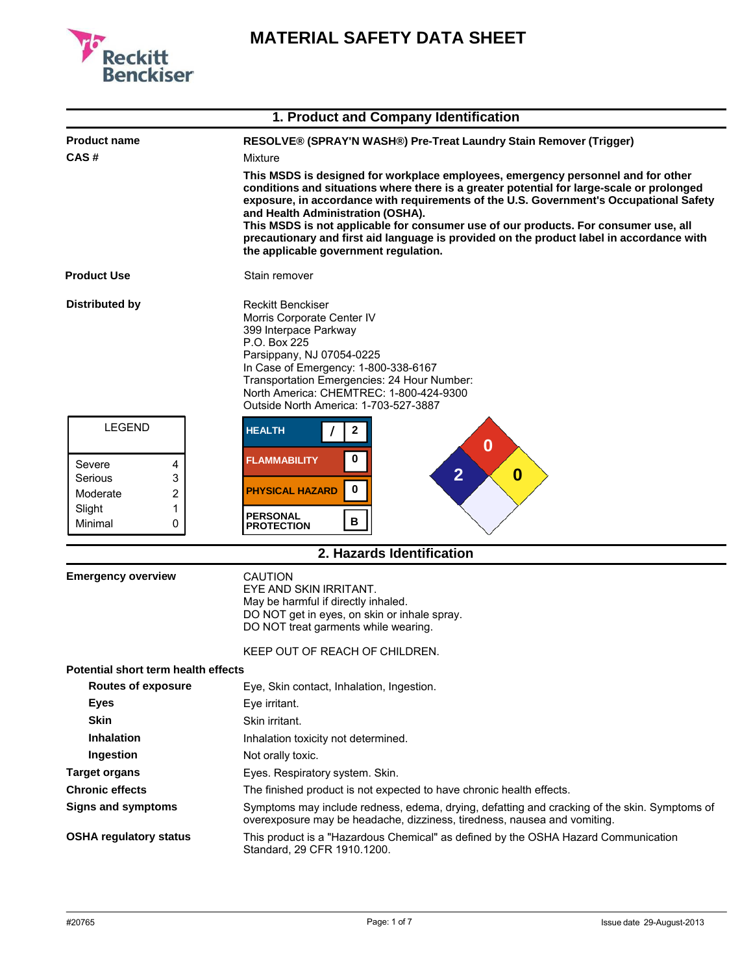

|                                                                             | 1. Product and Company Identification                                                                                                                                                                                                                                                                                                                                                                                                                                                                                                    |  |
|-----------------------------------------------------------------------------|------------------------------------------------------------------------------------------------------------------------------------------------------------------------------------------------------------------------------------------------------------------------------------------------------------------------------------------------------------------------------------------------------------------------------------------------------------------------------------------------------------------------------------------|--|
| <b>Product name</b>                                                         | RESOLVE® (SPRAY'N WASH®) Pre-Treat Laundry Stain Remover (Trigger)                                                                                                                                                                                                                                                                                                                                                                                                                                                                       |  |
| CAS#                                                                        | Mixture                                                                                                                                                                                                                                                                                                                                                                                                                                                                                                                                  |  |
|                                                                             | This MSDS is designed for workplace employees, emergency personnel and for other<br>conditions and situations where there is a greater potential for large-scale or prolonged<br>exposure, in accordance with requirements of the U.S. Government's Occupational Safety<br>and Health Administration (OSHA).<br>This MSDS is not applicable for consumer use of our products. For consumer use, all<br>precautionary and first aid language is provided on the product label in accordance with<br>the applicable government regulation. |  |
| <b>Product Use</b>                                                          | Stain remover                                                                                                                                                                                                                                                                                                                                                                                                                                                                                                                            |  |
| <b>Distributed by</b>                                                       | Reckitt Benckiser<br>Morris Corporate Center IV<br>399 Interpace Parkway<br>P.O. Box 225<br>Parsippany, NJ 07054-0225<br>In Case of Emergency: 1-800-338-6167<br>Transportation Emergencies: 24 Hour Number:<br>North America: CHEMTREC: 1-800-424-9300<br>Outside North America: 1-703-527-3887                                                                                                                                                                                                                                         |  |
| <b>LEGEND</b>                                                               | <b>HEALTH</b><br>2<br>0                                                                                                                                                                                                                                                                                                                                                                                                                                                                                                                  |  |
| Severe<br>4<br>Serious<br>3<br>2<br>Moderate<br>1<br>Slight<br>Minimal<br>0 | 0<br><b>FLAMMABILITY</b><br>$\overline{2}$<br>$\boldsymbol{0}$<br>0<br><b>PHYSICAL HAZARD</b><br><b>PERSONAL</b><br>В<br><b>PROTECTION</b>                                                                                                                                                                                                                                                                                                                                                                                               |  |
|                                                                             | 2. Hazards Identification                                                                                                                                                                                                                                                                                                                                                                                                                                                                                                                |  |
| <b>Emergency overview</b>                                                   | CAUTION<br>EYE AND SKIN IRRITANT.<br>May be harmful if directly inhaled.<br>DO NOT get in eyes, on skin or inhale spray.<br>DO NOT treat garments while wearing.                                                                                                                                                                                                                                                                                                                                                                         |  |
|                                                                             | KEEP OUT OF REACH OF CHILDREN.                                                                                                                                                                                                                                                                                                                                                                                                                                                                                                           |  |
| Potential short term health effects                                         |                                                                                                                                                                                                                                                                                                                                                                                                                                                                                                                                          |  |
| <b>Routes of exposure</b>                                                   | Eye, Skin contact, Inhalation, Ingestion.                                                                                                                                                                                                                                                                                                                                                                                                                                                                                                |  |
| <b>Eyes</b>                                                                 | Eye irritant.                                                                                                                                                                                                                                                                                                                                                                                                                                                                                                                            |  |
| <b>Skin</b>                                                                 | Skin irritant.                                                                                                                                                                                                                                                                                                                                                                                                                                                                                                                           |  |
| <b>Inhalation</b>                                                           | Inhalation toxicity not determined.                                                                                                                                                                                                                                                                                                                                                                                                                                                                                                      |  |
| Ingestion                                                                   | Not orally toxic.                                                                                                                                                                                                                                                                                                                                                                                                                                                                                                                        |  |
| <b>Target organs</b>                                                        | Eyes. Respiratory system. Skin.                                                                                                                                                                                                                                                                                                                                                                                                                                                                                                          |  |
| <b>Chronic effects</b>                                                      | The finished product is not expected to have chronic health effects.                                                                                                                                                                                                                                                                                                                                                                                                                                                                     |  |
| <b>Signs and symptoms</b>                                                   | Symptoms may include redness, edema, drying, defatting and cracking of the skin. Symptoms of<br>overexposure may be headache, dizziness, tiredness, nausea and vomiting.                                                                                                                                                                                                                                                                                                                                                                 |  |
| <b>OSHA regulatory status</b>                                               | This product is a "Hazardous Chemical" as defined by the OSHA Hazard Communication<br>Standard, 29 CFR 1910.1200.                                                                                                                                                                                                                                                                                                                                                                                                                        |  |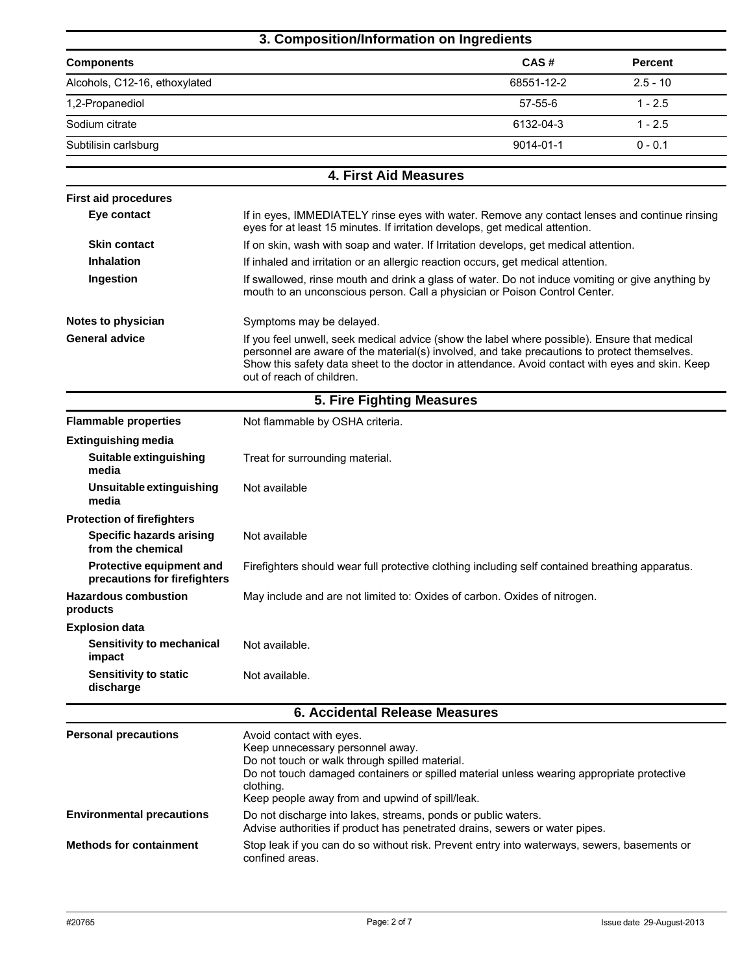## **3. Composition/Information on Ingredients**

| <b>Percent</b>           |
|--------------------------|
| 68551-12-2<br>$2.5 - 10$ |
| $1 - 2.5$                |
| 6132-04-3<br>$1 - 2.5$   |
| $0 - 0.1$<br>9014-01-1   |
|                          |

**4. First Aid Measures**

| <b>First aid procedures</b>                                     |                                                                                                                                                                                                                                                                                                                              |  |  |
|-----------------------------------------------------------------|------------------------------------------------------------------------------------------------------------------------------------------------------------------------------------------------------------------------------------------------------------------------------------------------------------------------------|--|--|
| Eye contact                                                     | If in eyes, IMMEDIATELY rinse eyes with water. Remove any contact lenses and continue rinsing<br>eyes for at least 15 minutes. If irritation develops, get medical attention.                                                                                                                                                |  |  |
| <b>Skin contact</b>                                             | If on skin, wash with soap and water. If Irritation develops, get medical attention.                                                                                                                                                                                                                                         |  |  |
| <b>Inhalation</b>                                               | If inhaled and irritation or an allergic reaction occurs, get medical attention.                                                                                                                                                                                                                                             |  |  |
| Ingestion                                                       | If swallowed, rinse mouth and drink a glass of water. Do not induce vomiting or give anything by<br>mouth to an unconscious person. Call a physician or Poison Control Center.                                                                                                                                               |  |  |
| Notes to physician                                              | Symptoms may be delayed.                                                                                                                                                                                                                                                                                                     |  |  |
| <b>General advice</b>                                           | If you feel unwell, seek medical advice (show the label where possible). Ensure that medical<br>personnel are aware of the material(s) involved, and take precautions to protect themselves.<br>Show this safety data sheet to the doctor in attendance. Avoid contact with eyes and skin. Keep<br>out of reach of children. |  |  |
|                                                                 | 5. Fire Fighting Measures                                                                                                                                                                                                                                                                                                    |  |  |
| <b>Flammable properties</b>                                     | Not flammable by OSHA criteria.                                                                                                                                                                                                                                                                                              |  |  |
| <b>Extinguishing media</b>                                      |                                                                                                                                                                                                                                                                                                                              |  |  |
| Suitable extinguishing<br>media                                 | Treat for surrounding material.                                                                                                                                                                                                                                                                                              |  |  |
| Unsuitable extinguishing<br>media                               | Not available                                                                                                                                                                                                                                                                                                                |  |  |
| <b>Protection of firefighters</b>                               |                                                                                                                                                                                                                                                                                                                              |  |  |
| <b>Specific hazards arising</b><br>from the chemical            | Not available                                                                                                                                                                                                                                                                                                                |  |  |
| <b>Protective equipment and</b><br>precautions for firefighters | Firefighters should wear full protective clothing including self contained breathing apparatus.                                                                                                                                                                                                                              |  |  |
| <b>Hazardous combustion</b><br>products                         | May include and are not limited to: Oxides of carbon. Oxides of nitrogen.                                                                                                                                                                                                                                                    |  |  |
| <b>Explosion data</b>                                           |                                                                                                                                                                                                                                                                                                                              |  |  |
| Sensitivity to mechanical<br>impact                             | Not available.                                                                                                                                                                                                                                                                                                               |  |  |
| <b>Sensitivity to static</b><br>discharge                       | Not available.                                                                                                                                                                                                                                                                                                               |  |  |
|                                                                 | <b>6. Accidental Release Measures</b>                                                                                                                                                                                                                                                                                        |  |  |
| <b>Personal precautions</b>                                     | Avoid contact with eyes.<br>Keep unnecessary personnel away.<br>Do not touch or walk through spilled material.<br>Do not touch damaged containers or spilled material unless wearing appropriate protective<br>clothing.<br>Keep people away from and upwind of spill/leak.                                                  |  |  |
| <b>Environmental precautions</b>                                | Do not discharge into lakes, streams, ponds or public waters.                                                                                                                                                                                                                                                                |  |  |

Advise authorities if product has penetrated drains, sewers or water pipes.

**Methods for containment** Stop leak if you can do so without risk. Prevent entry into waterways, sewers, basements or confined areas.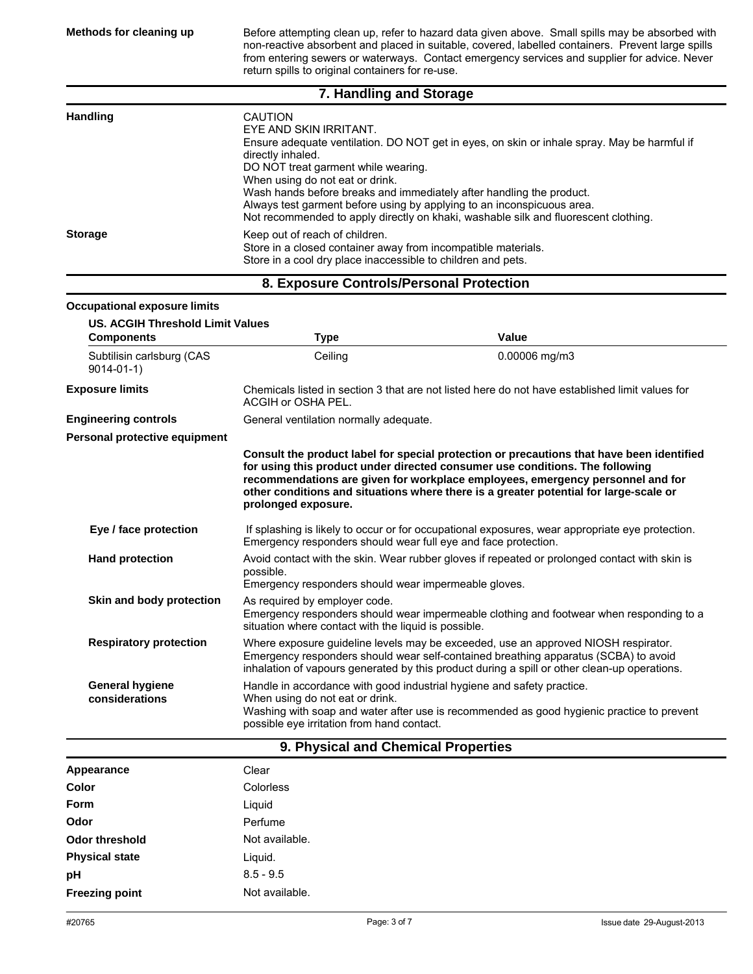**Methods for cleaning up** Before attempting clean up, refer to hazard data given above. Small spills may be absorbed with non-reactive absorbent and placed in suitable, covered, labelled containers. Prevent large spills from entering sewers or waterways. Contact emergency services and supplier for advice. Never return spills to original containers for re-use.

## **7. Handling and Storage**

| <b>Handling</b> | CAUTION<br>EYE AND SKIN IRRITANT.<br>Ensure adequate ventilation. DO NOT get in eyes, on skin or inhale spray. May be harmful if<br>directly inhaled.<br>DO NOT treat garment while wearing.<br>When using do not eat or drink.<br>Wash hands before breaks and immediately after handling the product.<br>Always test garment before using by applying to an inconspicuous area.<br>Not recommended to apply directly on khaki, washable silk and fluorescent clothing. |
|-----------------|--------------------------------------------------------------------------------------------------------------------------------------------------------------------------------------------------------------------------------------------------------------------------------------------------------------------------------------------------------------------------------------------------------------------------------------------------------------------------|
| <b>Storage</b>  | Keep out of reach of children.<br>Store in a closed container away from incompatible materials.<br>Store in a cool dry place inaccessible to children and pets.                                                                                                                                                                                                                                                                                                          |

## **8. Exposure Controls/Personal Protection**

| <b>Occupational exposure limits</b>                          |                                                                                                                                                                                                                                                                           |                                                                                                                                                                                                                                                                                                                                                      |  |
|--------------------------------------------------------------|---------------------------------------------------------------------------------------------------------------------------------------------------------------------------------------------------------------------------------------------------------------------------|------------------------------------------------------------------------------------------------------------------------------------------------------------------------------------------------------------------------------------------------------------------------------------------------------------------------------------------------------|--|
| <b>US. ACGIH Threshold Limit Values</b><br><b>Components</b> | <b>Type</b>                                                                                                                                                                                                                                                               | Value                                                                                                                                                                                                                                                                                                                                                |  |
| Subtilisin carlsburg (CAS<br>$9014 - 01 - 1$                 | Ceiling                                                                                                                                                                                                                                                                   | $0.00006$ mg/m3                                                                                                                                                                                                                                                                                                                                      |  |
| <b>Exposure limits</b>                                       | Chemicals listed in section 3 that are not listed here do not have established limit values for<br>ACGIH or OSHA PEL.                                                                                                                                                     |                                                                                                                                                                                                                                                                                                                                                      |  |
| <b>Engineering controls</b>                                  | General ventilation normally adequate.                                                                                                                                                                                                                                    |                                                                                                                                                                                                                                                                                                                                                      |  |
| Personal protective equipment                                |                                                                                                                                                                                                                                                                           |                                                                                                                                                                                                                                                                                                                                                      |  |
|                                                              | prolonged exposure.                                                                                                                                                                                                                                                       | Consult the product label for special protection or precautions that have been identified<br>for using this product under directed consumer use conditions. The following<br>recommendations are given for workplace employees, emergency personnel and for<br>other conditions and situations where there is a greater potential for large-scale or |  |
| Eye / face protection                                        | Emergency responders should wear full eye and face protection.                                                                                                                                                                                                            | If splashing is likely to occur or for occupational exposures, wear appropriate eye protection.                                                                                                                                                                                                                                                      |  |
| <b>Hand protection</b>                                       | Avoid contact with the skin. Wear rubber gloves if repeated or prolonged contact with skin is<br>possible.<br>Emergency responders should wear impermeable gloves.                                                                                                        |                                                                                                                                                                                                                                                                                                                                                      |  |
| Skin and body protection                                     | As required by employer code.<br>Emergency responders should wear impermeable clothing and footwear when responding to a<br>situation where contact with the liquid is possible.                                                                                          |                                                                                                                                                                                                                                                                                                                                                      |  |
| <b>Respiratory protection</b>                                | Where exposure guideline levels may be exceeded, use an approved NIOSH respirator.<br>Emergency responders should wear self-contained breathing apparatus (SCBA) to avoid<br>inhalation of vapours generated by this product during a spill or other clean-up operations. |                                                                                                                                                                                                                                                                                                                                                      |  |
| <b>General hygiene</b><br>considerations                     | Handle in accordance with good industrial hygiene and safety practice.<br>When using do not eat or drink.<br>Washing with soap and water after use is recommended as good hygienic practice to prevent<br>possible eye irritation from hand contact.                      |                                                                                                                                                                                                                                                                                                                                                      |  |

## **9. Physical and Chemical Properties**

| Appearance            | Clear          |
|-----------------------|----------------|
| Color                 | Colorless      |
| <b>Form</b>           | Liguid         |
| Odor                  | Perfume        |
| <b>Odor threshold</b> | Not available. |
| <b>Physical state</b> | Liquid.        |
| pH                    | $8.5 - 9.5$    |
| <b>Freezing point</b> | Not available. |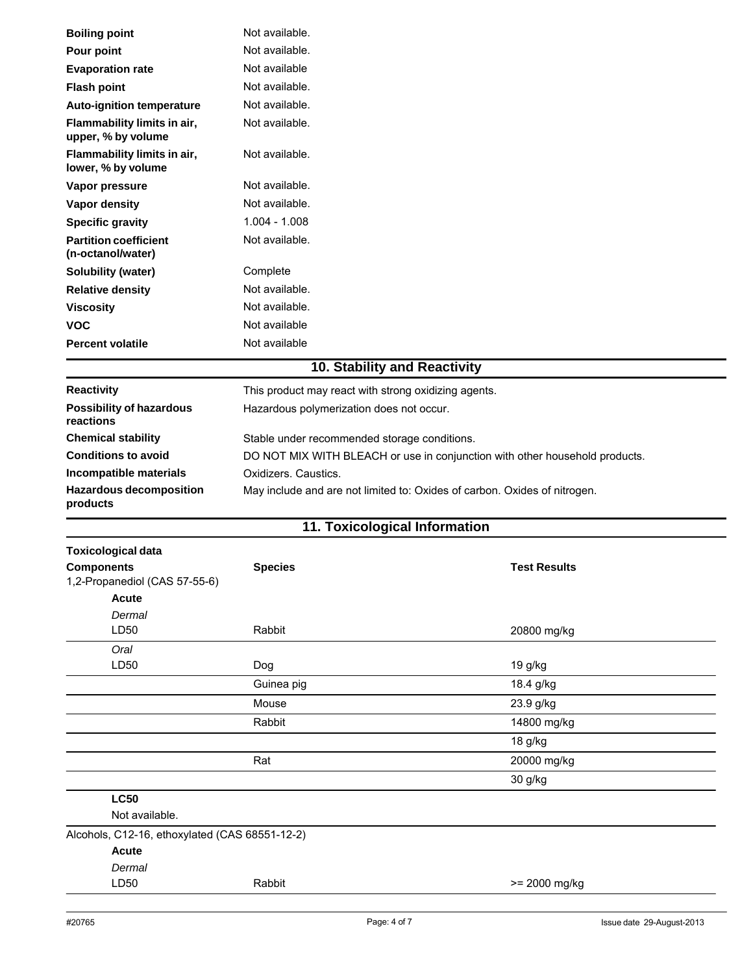| <b>Boiling point</b>                              | Not available.                                                              |                     |  |
|---------------------------------------------------|-----------------------------------------------------------------------------|---------------------|--|
| Pour point                                        | Not available.                                                              |                     |  |
| <b>Evaporation rate</b>                           | Not available                                                               |                     |  |
| <b>Flash point</b>                                | Not available.                                                              |                     |  |
| <b>Auto-ignition temperature</b>                  | Not available.                                                              |                     |  |
| Flammability limits in air,<br>upper, % by volume | Not available.                                                              |                     |  |
| Flammability limits in air,<br>lower, % by volume | Not available.                                                              |                     |  |
| Vapor pressure                                    | Not available.                                                              |                     |  |
| Vapor density                                     | Not available.                                                              |                     |  |
| <b>Specific gravity</b>                           | $1.004 - 1.008$                                                             |                     |  |
| <b>Partition coefficient</b><br>(n-octanol/water) | Not available.                                                              |                     |  |
| <b>Solubility (water)</b>                         | Complete                                                                    |                     |  |
| <b>Relative density</b>                           | Not available.                                                              |                     |  |
| <b>Viscosity</b>                                  | Not available.                                                              |                     |  |
| <b>VOC</b>                                        | Not available                                                               |                     |  |
| <b>Percent volatile</b>                           | Not available                                                               |                     |  |
|                                                   | 10. Stability and Reactivity                                                |                     |  |
| <b>Reactivity</b>                                 | This product may react with strong oxidizing agents.                        |                     |  |
| <b>Possibility of hazardous</b><br>reactions      | Hazardous polymerization does not occur.                                    |                     |  |
| <b>Chemical stability</b>                         | Stable under recommended storage conditions.                                |                     |  |
| <b>Conditions to avoid</b>                        | DO NOT MIX WITH BLEACH or use in conjunction with other household products. |                     |  |
| Incompatible materials                            | Oxidizers. Caustics.                                                        |                     |  |
| <b>Hazardous decomposition</b><br>products        | May include and are not limited to: Oxides of carbon. Oxides of nitrogen.   |                     |  |
|                                                   | 11. Toxicological Information                                               |                     |  |
| <b>Toxicological data</b>                         |                                                                             |                     |  |
| <b>Components</b>                                 | <b>Species</b>                                                              | <b>Test Results</b> |  |
| 1,2-Propanediol (CAS 57-55-6)                     |                                                                             |                     |  |
| Acute                                             |                                                                             |                     |  |
| Dermal                                            |                                                                             |                     |  |
| LD50                                              | Rabbit                                                                      | 20800 mg/kg         |  |
| Oral<br>LD50                                      | Dog                                                                         | 19 g/kg             |  |
|                                                   | Guinea pig                                                                  | 18.4 g/kg           |  |
|                                                   | Mouse                                                                       | 23.9 g/kg           |  |
|                                                   | Rabbit                                                                      | 14800 mg/kg         |  |
|                                                   |                                                                             |                     |  |
|                                                   |                                                                             | 18 g/kg             |  |
|                                                   | Rat                                                                         | 20000 mg/kg         |  |
|                                                   |                                                                             | 30 g/kg             |  |
| <b>LC50</b><br>Not available.                     |                                                                             |                     |  |
| Alcohols, C12-16, ethoxylated (CAS 68551-12-2)    |                                                                             |                     |  |
| Acute                                             |                                                                             |                     |  |
| Dermal                                            |                                                                             |                     |  |
| LD50                                              | Rabbit                                                                      | >= 2000 mg/kg       |  |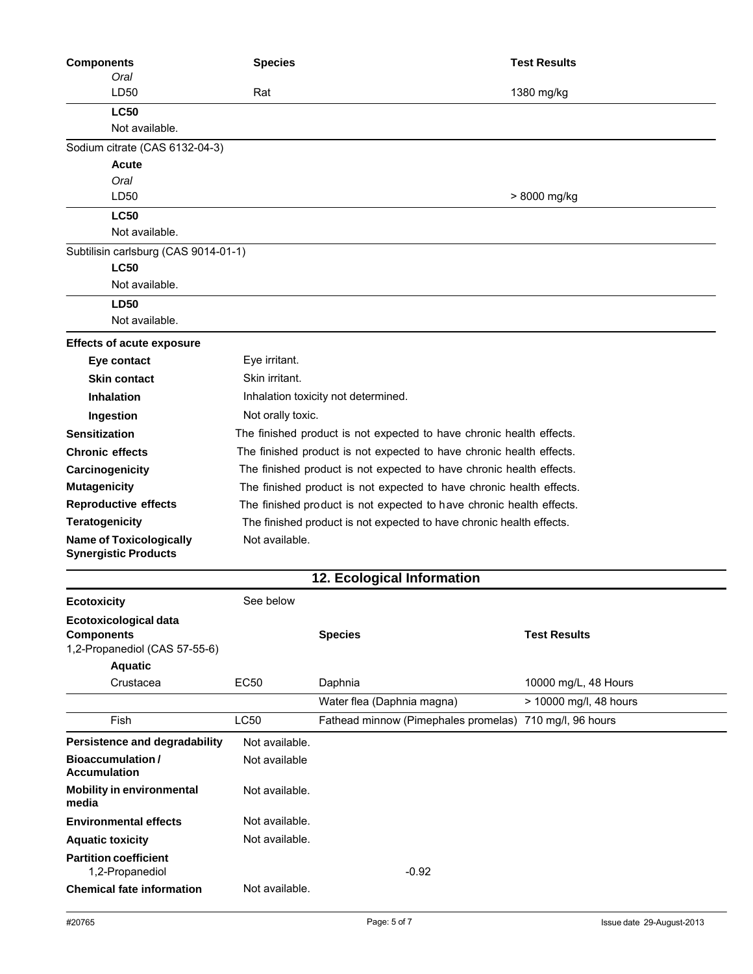| <b>Components</b>                                             | <b>Species</b>                                                       |                                                         | <b>Test Results</b>    |
|---------------------------------------------------------------|----------------------------------------------------------------------|---------------------------------------------------------|------------------------|
| Oral                                                          |                                                                      |                                                         |                        |
| LD50                                                          | Rat                                                                  |                                                         | 1380 mg/kg             |
| <b>LC50</b>                                                   |                                                                      |                                                         |                        |
| Not available.                                                |                                                                      |                                                         |                        |
| Sodium citrate (CAS 6132-04-3)                                |                                                                      |                                                         |                        |
| <b>Acute</b>                                                  |                                                                      |                                                         |                        |
| Oral<br>LD50                                                  |                                                                      |                                                         |                        |
|                                                               |                                                                      |                                                         | > 8000 mg/kg           |
| <b>LC50</b><br>Not available.                                 |                                                                      |                                                         |                        |
| Subtilisin carlsburg (CAS 9014-01-1)                          |                                                                      |                                                         |                        |
| <b>LC50</b>                                                   |                                                                      |                                                         |                        |
| Not available.                                                |                                                                      |                                                         |                        |
| <b>LD50</b>                                                   |                                                                      |                                                         |                        |
| Not available.                                                |                                                                      |                                                         |                        |
|                                                               |                                                                      |                                                         |                        |
| <b>Effects of acute exposure</b>                              |                                                                      |                                                         |                        |
| Eye contact                                                   | Eye irritant.<br>Skin irritant.                                      |                                                         |                        |
| <b>Skin contact</b>                                           |                                                                      |                                                         |                        |
| <b>Inhalation</b>                                             | Inhalation toxicity not determined.                                  |                                                         |                        |
| Ingestion                                                     | Not orally toxic.                                                    |                                                         |                        |
| <b>Sensitization</b>                                          | The finished product is not expected to have chronic health effects. |                                                         |                        |
| <b>Chronic effects</b>                                        | The finished product is not expected to have chronic health effects. |                                                         |                        |
| Carcinogenicity                                               | The finished product is not expected to have chronic health effects. |                                                         |                        |
| <b>Mutagenicity</b>                                           | The finished product is not expected to have chronic health effects. |                                                         |                        |
| <b>Reproductive effects</b>                                   | The finished product is not expected to have chronic health effects. |                                                         |                        |
| <b>Teratogenicity</b>                                         | The finished product is not expected to have chronic health effects. |                                                         |                        |
| <b>Name of Toxicologically</b><br><b>Synergistic Products</b> | Not available.                                                       |                                                         |                        |
|                                                               |                                                                      | 12. Ecological Information                              |                        |
|                                                               | See below                                                            |                                                         |                        |
| <b>Ecotoxicity</b>                                            |                                                                      |                                                         |                        |
| Ecotoxicological data<br><b>Components</b>                    |                                                                      | <b>Species</b>                                          | <b>Test Results</b>    |
| 1,2-Propanediol (CAS 57-55-6)                                 |                                                                      |                                                         |                        |
| <b>Aquatic</b>                                                |                                                                      |                                                         |                        |
| Crustacea                                                     | <b>EC50</b>                                                          | Daphnia                                                 | 10000 mg/L, 48 Hours   |
|                                                               |                                                                      | Water flea (Daphnia magna)                              | > 10000 mg/l, 48 hours |
| Fish                                                          | <b>LC50</b>                                                          | Fathead minnow (Pimephales promelas) 710 mg/l, 96 hours |                        |
| Persistence and degradability                                 | Not available.                                                       |                                                         |                        |
| <b>Bioaccumulation/</b>                                       | Not available                                                        |                                                         |                        |
| <b>Accumulation</b>                                           |                                                                      |                                                         |                        |
| <b>Mobility in environmental</b><br>media                     | Not available.                                                       |                                                         |                        |
| <b>Environmental effects</b>                                  | Not available.                                                       |                                                         |                        |
| <b>Aquatic toxicity</b>                                       | Not available.                                                       |                                                         |                        |
| <b>Partition coefficient</b><br>1,2-Propanediol               |                                                                      | $-0.92$                                                 |                        |
| <b>Chemical fate information</b>                              | Not available.                                                       |                                                         |                        |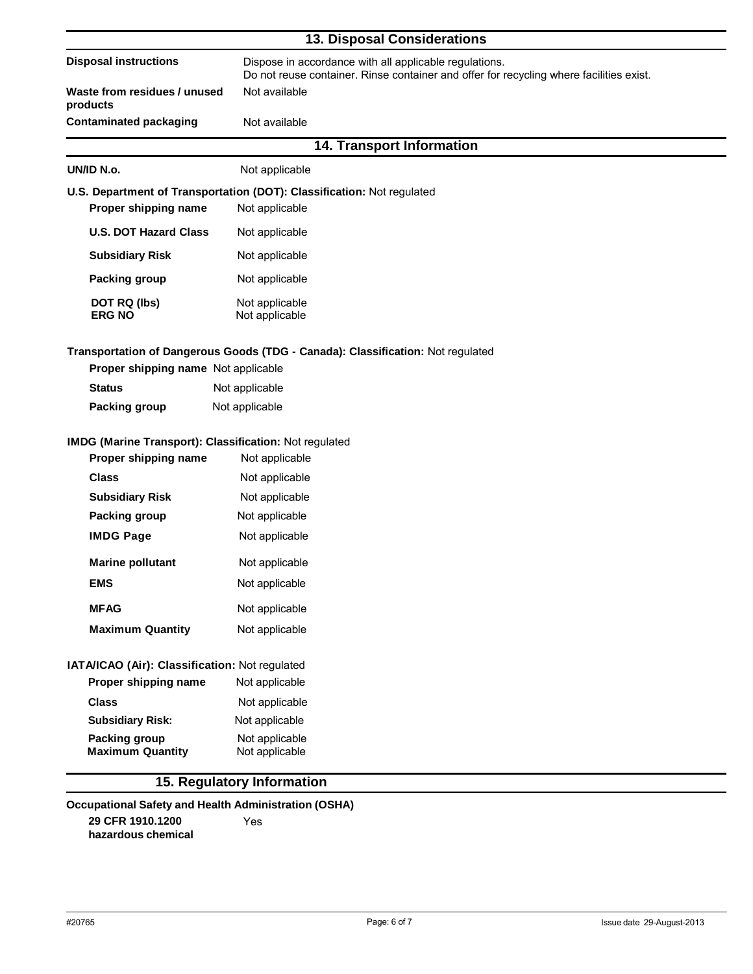| <b>13. Disposal Considerations</b>                                             |                                                                                                                                                   |  |  |
|--------------------------------------------------------------------------------|---------------------------------------------------------------------------------------------------------------------------------------------------|--|--|
| <b>Disposal instructions</b>                                                   | Dispose in accordance with all applicable regulations.<br>Do not reuse container. Rinse container and offer for recycling where facilities exist. |  |  |
| Waste from residues / unused<br>products                                       | Not available                                                                                                                                     |  |  |
| <b>Contaminated packaging</b>                                                  | Not available                                                                                                                                     |  |  |
|                                                                                | 14. Transport Information                                                                                                                         |  |  |
| UN/ID N.o.                                                                     | Not applicable                                                                                                                                    |  |  |
| Proper shipping name                                                           | U.S. Department of Transportation (DOT): Classification: Not regulated<br>Not applicable                                                          |  |  |
| <b>U.S. DOT Hazard Class</b>                                                   | Not applicable                                                                                                                                    |  |  |
| <b>Subsidiary Risk</b>                                                         | Not applicable                                                                                                                                    |  |  |
| Packing group                                                                  | Not applicable                                                                                                                                    |  |  |
| DOT RQ (lbs)<br><b>ERG NO</b>                                                  | Not applicable<br>Not applicable                                                                                                                  |  |  |
| Proper shipping name Not applicable                                            | Transportation of Dangerous Goods (TDG - Canada): Classification: Not regulated                                                                   |  |  |
| <b>Status</b>                                                                  | Not applicable                                                                                                                                    |  |  |
| Packing group                                                                  | Not applicable                                                                                                                                    |  |  |
| IMDG (Marine Transport): Classification: Not regulated<br>Proper shipping name | Not applicable                                                                                                                                    |  |  |
| <b>Class</b>                                                                   | Not applicable                                                                                                                                    |  |  |
| <b>Subsidiary Risk</b>                                                         | Not applicable                                                                                                                                    |  |  |
| Packing group                                                                  | Not applicable                                                                                                                                    |  |  |
| <b>IMDG Page</b>                                                               | Not applicable                                                                                                                                    |  |  |
| <b>Marine pollutant</b>                                                        | Not applicable                                                                                                                                    |  |  |
| <b>EMS</b>                                                                     | Not applicable                                                                                                                                    |  |  |
| <b>MFAG</b>                                                                    | Not applicable                                                                                                                                    |  |  |
| <b>Maximum Quantity</b>                                                        | Not applicable                                                                                                                                    |  |  |
| IATA/ICAO (Air): Classification: Not regulated                                 |                                                                                                                                                   |  |  |
| Proper shipping name                                                           | Not applicable                                                                                                                                    |  |  |
| <b>Class</b>                                                                   | Not applicable                                                                                                                                    |  |  |
| <b>Subsidiary Risk:</b>                                                        | Not applicable                                                                                                                                    |  |  |
| Packing group<br><b>Maximum Quantity</b>                                       | Not applicable<br>Not applicable                                                                                                                  |  |  |
|                                                                                | 15. Regulatory Information                                                                                                                        |  |  |
| <b>Occupational Safety and Health Administration (OSHA)</b>                    |                                                                                                                                                   |  |  |
| 29 CFR 1910.1200                                                               | Yes                                                                                                                                               |  |  |

**hazardous chemical**